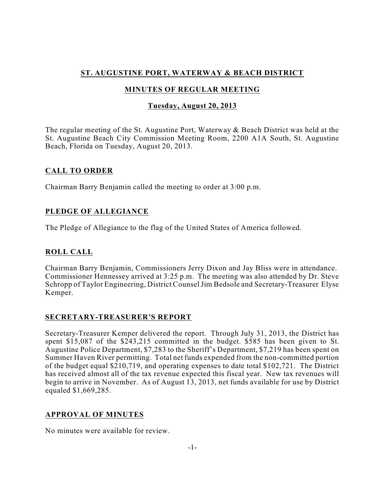# **ST. AUGUSTINE PORT, WATERWAY & BEACH DISTRICT**

## **MINUTES OF REGULAR MEETING**

## **Tuesday, August 20, 2013**

The regular meeting of the St. Augustine Port, Waterway & Beach District was held at the St. Augustine Beach City Commission Meeting Room, 2200 A1A South, St. Augustine Beach, Florida on Tuesday, August 20, 2013.

## **CALL TO ORDER**

Chairman Barry Benjamin called the meeting to order at 3:00 p.m.

## **PLEDGE OF ALLEGIANCE**

The Pledge of Allegiance to the flag of the United States of America followed.

## **ROLL CALL**

Chairman Barry Benjamin, Commissioners Jerry Dixon and Jay Bliss were in attendance. Commissioner Hennessey arrived at 3:25 p.m. The meeting was also attended by Dr. Steve Schropp of Taylor Engineering, District CounselJim Bedsole and Secretary-Treasurer Elyse Kemper.

## **SECRETARY-TREASURER'S REPORT**

Secretary-Treasurer Kemper delivered the report. Through July 31, 2013, the District has spent \$15,087 of the \$243,215 committed in the budget. \$585 has been given to St. Augustine Police Department, \$7,283 to the Sheriff's Department, \$7,219 has been spent on Summer Haven River permitting. Total net funds expended from the non-committed portion of the budget equal \$210,719, and operating expenses to date total \$102,721. The District has received almost all of the tax revenue expected this fiscal year. New tax revenues will begin to arrive in November. As of August 13, 2013, net funds available for use by District equaled \$1,669,285.

## **APPROVAL OF MINUTES**

No minutes were available for review.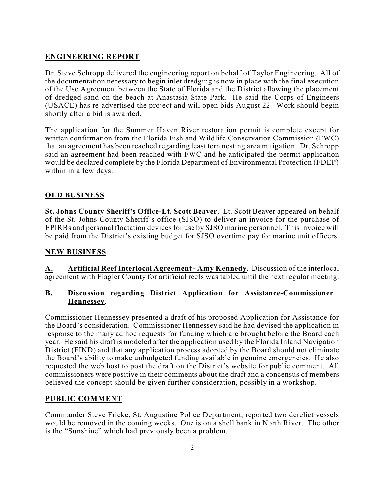# **ENGINEERING REPORT**

Dr. Steve Schropp delivered the engineering report on behalf of Taylor Engineering. All of the documentation necessary to begin inlet dredging is now in place with the final execution of the Use Agreement between the State of Florida and the District allowing the placement of dredged sand on the beach at Anastasia State Park. He said the Corps of Engineers (USACE) has re-advertised the project and will open bids August 22. Work should begin shortly after a bid is awarded.

The application for the Summer Haven River restoration permit is complete except for written confirmation from the Florida Fish and Wildlife Conservation Commission (FWC) that an agreement has been reached regarding least tern nesting area mitigation. Dr. Schropp said an agreement had been reached with FWC and he anticipated the permit application would be declared complete by the Florida Department of Environmental Protection (FDEP) within in a few days.

## **OLD BUSINESS**

**St. Johns County Sheriff's Office-Lt. Scott Beaver**. Lt. Scott Beaver appeared on behalf of the St. Johns County Sheriff's office (SJSO) to deliver an invoice for the purchase of EPIRBs and personal floatation devices for use by SJSO marine personnel. This invoice will be paid from the District's existing budget for SJSO overtime pay for marine unit officers.

## **NEW BUSINESS**

**A. Artificial Reef Interlocal Agreement - Amy Kennedy.** Discussion of the interlocal agreement with Flagler County for artificial reefs was tabled until the next regular meeting.

#### **B. Discussion regarding District Application for Assistance-Commissioner Hennessey**.

Commissioner Hennessey presented a draft of his proposed Application for Assistance for the Board's consideration. Commissioner Hennessey said he had devised the application in response to the many ad hoc requests for funding which are brought before the Board each year. He said his draft is modeled after the application used by the Florida Inland Navigation District (FIND) and that any application process adopted by the Board should not eliminate the Board's ability to make unbudgeted funding available in genuine emergencies. He also requested the web host to post the draft on the District's website for public comment. All commissioners were positive in their comments about the draft and a concensus of members believed the concept should be given further consideration, possibly in a workshop.

## **PUBLIC COMMENT**

Commander Steve Fricke, St. Augustine Police Department, reported two derelict vessels would be removed in the coming weeks. One is on a shell bank in North River. The other is the "Sunshine" which had previously been a problem.